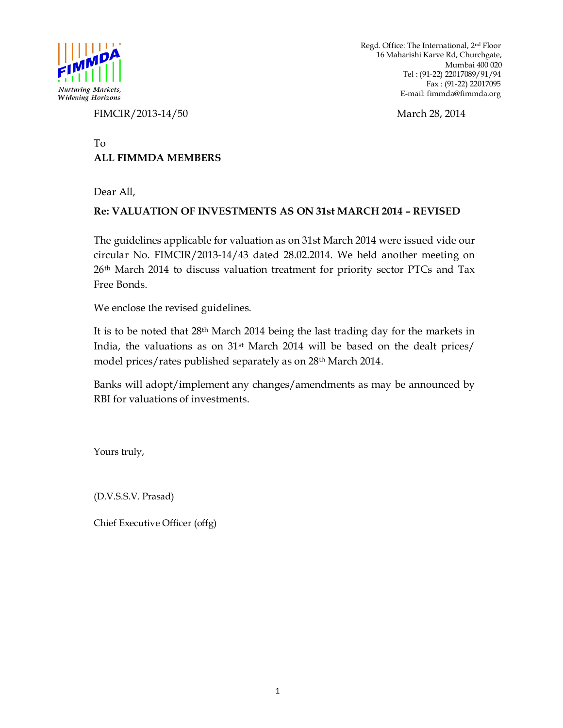

Regd. Office: The International, 2nd Floor 16 Maharishi Karve Rd, Churchgate, Mumbai 400 020 Tel : (91-22) 22017089/91/94 Fax : (91-22) 22017095 *Nurturing Markets,*<br> *Widening Horizons*<br> *Widening Horizons*<br> **E-mail:** fimmda@fimmda.org

FIMCIR/2013-14/50 March 28, 2014

### To **ALL FIMMDA MEMBERS**

Dear All,

## **Re: VALUATION OF INVESTMENTS AS ON 31st MARCH 2014 – REVISED**

The guidelines applicable for valuation as on 31st March 2014 were issued vide our circular No. FIMCIR/2013-14/43 dated 28.02.2014. We held another meeting on 26<sup>th</sup> March 2014 to discuss valuation treatment for priority sector PTCs and Tax Free Bonds.

We enclose the revised guidelines.

It is to be noted that 28th March 2014 being the last trading day for the markets in India, the valuations as on 31st March 2014 will be based on the dealt prices/ model prices/rates published separately as on 28<sup>th</sup> March 2014.

Banks will adopt/implement any changes/amendments as may be announced by RBI for valuations of investments.

Yours truly,

(D.V.S.S.V. Prasad)

Chief Executive Officer (offg)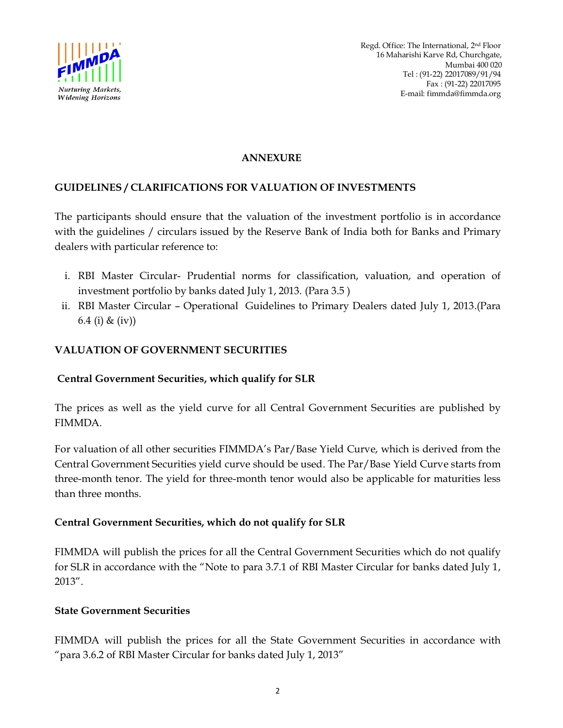

#### **ANNEXURE**

## **GUIDELINES / CLARIFICATIONS FOR VALUATION OF INVESTMENTS**

The participants should ensure that the valuation of the investment portfolio is in accordance with the guidelines / circulars issued by the Reserve Bank of India both for Banks and Primary dealers with particular reference to:

- i. RBI Master Circular- Prudential norms for classification, valuation, and operation of investment portfolio by banks dated July 1, 2013. (Para 3.5 )
- ii. RBI Master Circular Operational Guidelines to Primary Dealers dated July 1, 2013.(Para 6.4 (i) & (iv))

## **VALUATION OF GOVERNMENT SECURITIES**

## **Central Government Securities, which qualify for SLR**

The prices as well as the yield curve for all Central Government Securities are published by FIMMDA.

For valuation of all other securities FIMMDA's Par/Base Yield Curve, which is derived from the Central Government Securities yield curve should be used. The Par/Base Yield Curve starts from three-month tenor. The yield for three-month tenor would also be applicable for maturities less than three months.

## **Central Government Securities, which do not qualify for SLR**

FIMMDA will publish the prices for all the Central Government Securities which do not qualify for SLR in accordance with the "Note to para 3.7.1 of RBI Master Circular for banks dated July 1, 2013".

# **State Government Securities**

FIMMDA will publish the prices for all the State Government Securities in accordance with "para 3.6.2 of RBI Master Circular for banks dated July 1, 2013"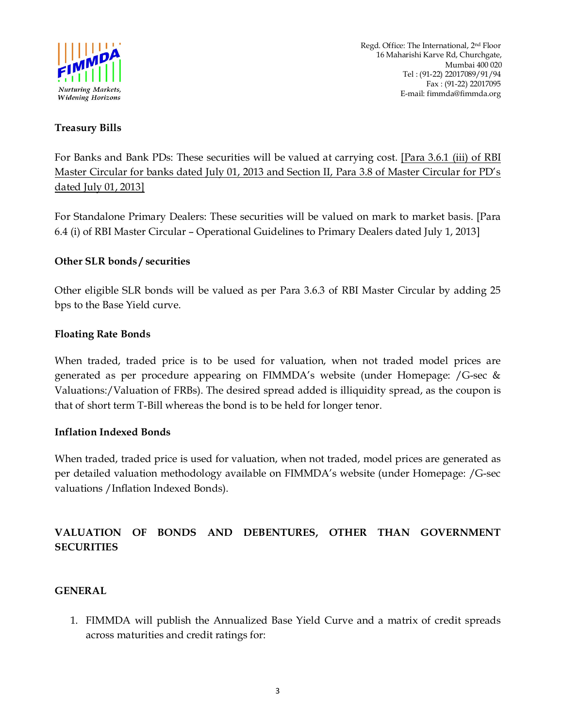

## **Treasury Bills**

For Banks and Bank PDs: These securities will be valued at carrying cost. [Para 3.6.1 (iii) of RBI Master Circular for banks dated July 01, 2013 and Section II, Para 3.8 of Master Circular for PD's dated July 01, 2013]

For Standalone Primary Dealers: These securities will be valued on mark to market basis. [Para 6.4 (i) of RBI Master Circular – Operational Guidelines to Primary Dealers dated July 1, 2013]

### **Other SLR bonds / securities**

Other eligible SLR bonds will be valued as per Para 3.6.3 of RBI Master Circular by adding 25 bps to the Base Yield curve.

### **Floating Rate Bonds**

When traded, traded price is to be used for valuation, when not traded model prices are generated as per procedure appearing on FIMMDA's website (under Homepage: /G-sec & Valuations:/Valuation of FRBs). The desired spread added is illiquidity spread, as the coupon is that of short term T-Bill whereas the bond is to be held for longer tenor.

### **Inflation Indexed Bonds**

When traded, traded price is used for valuation, when not traded, model prices are generated as per detailed valuation methodology available on FIMMDA's website (under Homepage: /G-sec valuations /Inflation Indexed Bonds).

# **VALUATION OF BONDS AND DEBENTURES, OTHER THAN GOVERNMENT SECURITIES**

### **GENERAL**

1. FIMMDA will publish the Annualized Base Yield Curve and a matrix of credit spreads across maturities and credit ratings for: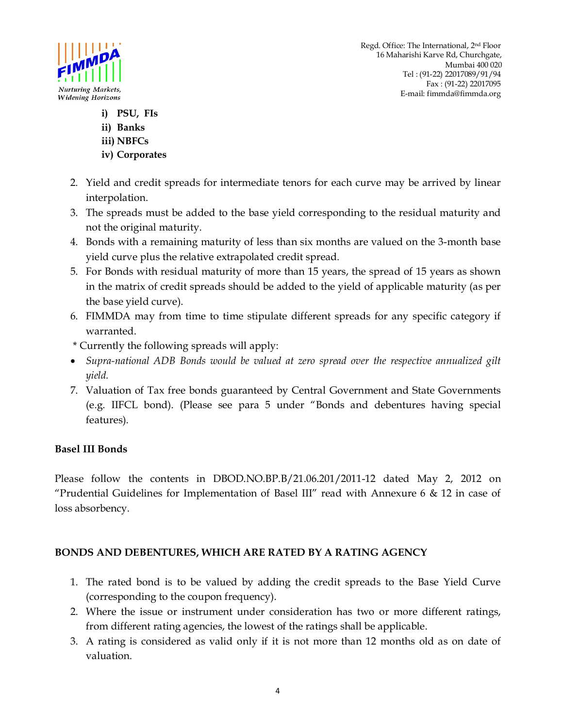



- **i) PSU, FIs**
- **ii) Banks**
- **iii) NBFCs**
- **iv) Corporates**
- 2. Yield and credit spreads for intermediate tenors for each curve may be arrived by linear interpolation.
- 3. The spreads must be added to the base yield corresponding to the residual maturity and not the original maturity.
- 4. Bonds with a remaining maturity of less than six months are valued on the 3-month base yield curve plus the relative extrapolated credit spread.
- 5. For Bonds with residual maturity of more than 15 years, the spread of 15 years as shown in the matrix of credit spreads should be added to the yield of applicable maturity (as per the base yield curve).
- 6. FIMMDA may from time to time stipulate different spreads for any specific category if warranted.
- \* Currently the following spreads will apply:
- *Supra-national ADB Bonds would be valued at zero spread over the respective annualized gilt yield.*
- 7. Valuation of Tax free bonds guaranteed by Central Government and State Governments (e.g. IIFCL bond). (Please see para 5 under "Bonds and debentures having special features).

# **Basel III Bonds**

Please follow the contents in DBOD.NO.BP.B/21.06.201/2011-12 dated May 2, 2012 on "Prudential Guidelines for Implementation of Basel III" read with Annexure 6 & 12 in case of loss absorbency.

## **BONDS AND DEBENTURES, WHICH ARE RATED BY A RATING AGENCY**

- 1. The rated bond is to be valued by adding the credit spreads to the Base Yield Curve (corresponding to the coupon frequency).
- 2. Where the issue or instrument under consideration has two or more different ratings, from different rating agencies, the lowest of the ratings shall be applicable.
- 3. A rating is considered as valid only if it is not more than 12 months old as on date of valuation.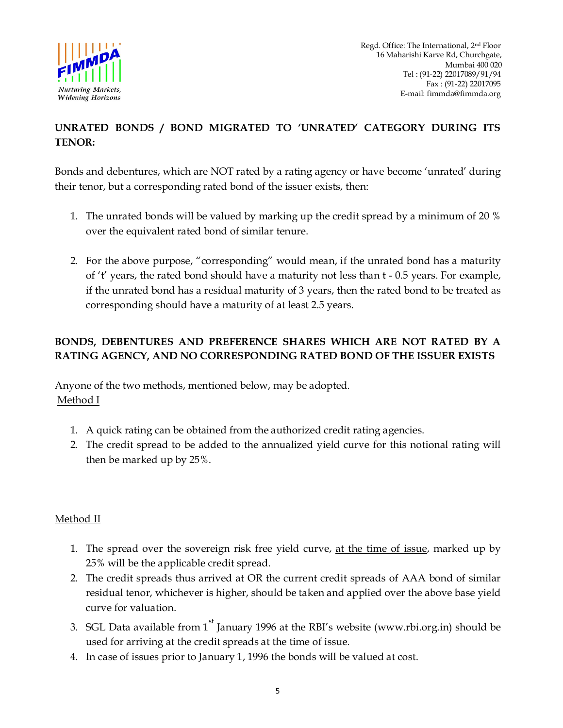

Regd. Office: The International, 2nd Floor 16 Maharishi Karve Rd, Churchgate, Mumbai 400 020 Tel : (91-22) 22017089/91/94 Fax : (91-22) 22017095 *Nurturing Markets,*<br> *Widening Horizons*<br> *Widening Horizons*<br> **E-mail:** fimmda@fimmda.org

# **UNRATED BONDS / BOND MIGRATED TO 'UNRATED' CATEGORY DURING ITS TENOR:**

Bonds and debentures, which are NOT rated by a rating agency or have become 'unrated' during their tenor, but a corresponding rated bond of the issuer exists, then:

- 1. The unrated bonds will be valued by marking up the credit spread by a minimum of 20 % over the equivalent rated bond of similar tenure.
- 2. For the above purpose, "corresponding" would mean, if the unrated bond has a maturity of 't' years, the rated bond should have a maturity not less than t - 0.5 years. For example, if the unrated bond has a residual maturity of 3 years, then the rated bond to be treated as corresponding should have a maturity of at least 2.5 years.

# **BONDS, DEBENTURES AND PREFERENCE SHARES WHICH ARE NOT RATED BY A RATING AGENCY, AND NO CORRESPONDING RATED BOND OF THE ISSUER EXISTS**

Anyone of the two methods, mentioned below, may be adopted. Method I

- 1. A quick rating can be obtained from the authorized credit rating agencies.
- 2. The credit spread to be added to the annualized yield curve for this notional rating will then be marked up by 25%.

## Method II

- 1. The spread over the sovereign risk free yield curve, at the time of issue, marked up by 25% will be the applicable credit spread.
- 2. The credit spreads thus arrived at OR the current credit spreads of AAA bond of similar residual tenor, whichever is higher, should be taken and applied over the above base yield curve for valuation.
- 3. SGL Data available from  $1<sup>st</sup>$  January 1996 at the RBI's website (www.rbi.org.in) should be used for arriving at the credit spreads at the time of issue.
- 4. In case of issues prior to January 1, 1996 the bonds will be valued at cost.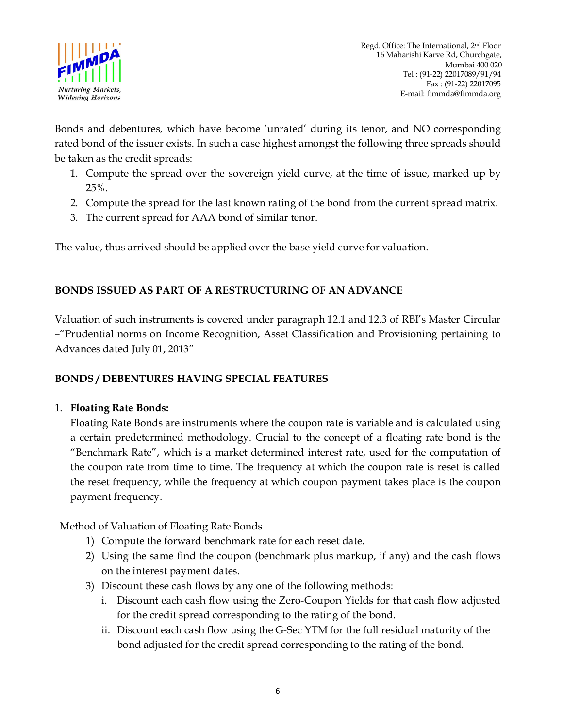

Bonds and debentures, which have become 'unrated' during its tenor, and NO corresponding rated bond of the issuer exists. In such a case highest amongst the following three spreads should be taken as the credit spreads:

- 1. Compute the spread over the sovereign yield curve, at the time of issue, marked up by 25%.
- 2. Compute the spread for the last known rating of the bond from the current spread matrix.
- 3. The current spread for AAA bond of similar tenor.

The value, thus arrived should be applied over the base yield curve for valuation.

## **BONDS ISSUED AS PART OF A RESTRUCTURING OF AN ADVANCE**

Valuation of such instruments is covered under paragraph 12.1 and 12.3 of RBI's Master Circular –"Prudential norms on Income Recognition, Asset Classification and Provisioning pertaining to Advances dated July 01, 2013"

### **BONDS / DEBENTURES HAVING SPECIAL FEATURES**

### 1. **Floating Rate Bonds:**

Floating Rate Bonds are instruments where the coupon rate is variable and is calculated using a certain predetermined methodology. Crucial to the concept of a floating rate bond is the "Benchmark Rate", which is a market determined interest rate, used for the computation of the coupon rate from time to time. The frequency at which the coupon rate is reset is called the reset frequency, while the frequency at which coupon payment takes place is the coupon payment frequency.

Method of Valuation of Floating Rate Bonds

- 1) Compute the forward benchmark rate for each reset date.
- 2) Using the same find the coupon (benchmark plus markup, if any) and the cash flows on the interest payment dates.
- 3) Discount these cash flows by any one of the following methods:
	- i. Discount each cash flow using the Zero-Coupon Yields for that cash flow adjusted for the credit spread corresponding to the rating of the bond.
	- ii. Discount each cash flow using the G-Sec YTM for the full residual maturity of the bond adjusted for the credit spread corresponding to the rating of the bond.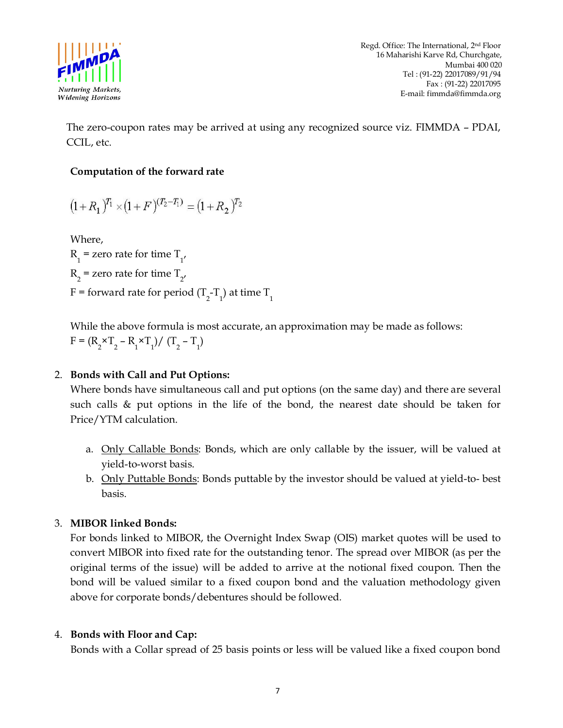

Regd. Office: The International, 2nd Floor 16 Maharishi Karve Rd, Churchgate, Mumbai 400 020 Tel : (91-22) 22017089/91/94 Fax : (91-22) 22017095 *Nurturing Markets,*<br> *Widening Horizons*<br> *Widening Horizons*<br> **E-mail:** fimmda@fimmda.org

The zero-coupon rates may be arrived at using any recognized source viz. FIMMDA – PDAI, CCIL, etc.

### **Computation of the forward rate**

$$
(1+R_1)^{T_1} \times (1+F)^{(T_2-T_1)} = (1+R_2)^{T_2}
$$

Where,

 $R_1$  = zero rate for time  $T_{1'}$  $R_{2}$  = zero rate for time  $T_{2}$ , F = forward rate for period (T<sub>2</sub>-T<sub>1</sub>) at time T<sub>1</sub>

While the above formula is most accurate, an approximation may be made as follows:  $F = (R_2 \times T_2 - R_1 \times T_1) / (T_2 - T_1)$ 

### 2. **Bonds with Call and Put Options:**

Where bonds have simultaneous call and put options (on the same day) and there are several such calls & put options in the life of the bond, the nearest date should be taken for Price/YTM calculation.

- a. Only Callable Bonds: Bonds, which are only callable by the issuer, will be valued at yield-to-worst basis.
- b. Only Puttable Bonds: Bonds puttable by the investor should be valued at yield-to- best basis.

### 3. **MIBOR linked Bonds:**

For bonds linked to MIBOR, the Overnight Index Swap (OIS) market quotes will be used to convert MIBOR into fixed rate for the outstanding tenor. The spread over MIBOR (as per the original terms of the issue) will be added to arrive at the notional fixed coupon. Then the bond will be valued similar to a fixed coupon bond and the valuation methodology given above for corporate bonds/debentures should be followed*.* 

### 4. **Bonds with Floor and Cap:**

Bonds with a Collar spread of 25 basis points or less will be valued like a fixed coupon bond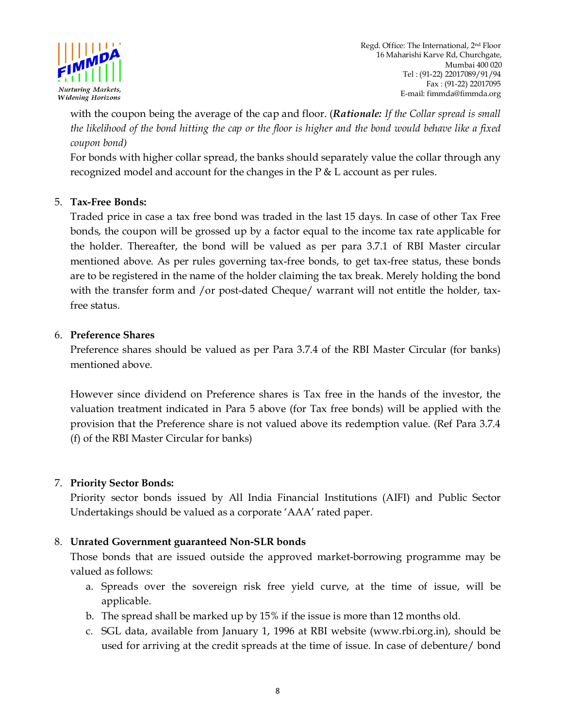

with the coupon being the average of the cap and floor. (*Rationale: If the Collar spread is small the likelihood of the bond hitting the cap or the floor is higher and the bond would behave like a fixed coupon bond)* 

For bonds with higher collar spread, the banks should separately value the collar through any recognized model and account for the changes in the P & L account as per rules.

### 5. **Tax-Free Bonds:**

Traded price in case a tax free bond was traded in the last 15 days. In case of other Tax Free bonds, the coupon will be grossed up by a factor equal to the income tax rate applicable for the holder. Thereafter, the bond will be valued as per para 3.7.1 of RBI Master circular mentioned above. As per rules governing tax-free bonds, to get tax-free status, these bonds are to be registered in the name of the holder claiming the tax break. Merely holding the bond with the transfer form and /or post-dated Cheque/ warrant will not entitle the holder, taxfree status.

### 6. **Preference Shares**

Preference shares should be valued as per Para 3.7.4 of the RBI Master Circular (for banks) mentioned above.

However since dividend on Preference shares is Tax free in the hands of the investor, the valuation treatment indicated in Para 5 above (for Tax free bonds) will be applied with the provision that the Preference share is not valued above its redemption value. (Ref Para 3.7.4 (f) of the RBI Master Circular for banks)

### 7. **Priority Sector Bonds:**

Priority sector bonds issued by All India Financial Institutions (AIFI) and Public Sector Undertakings should be valued as a corporate 'AAA' rated paper.

### 8. **Unrated Government guaranteed Non-SLR bonds**

Those bonds that are issued outside the approved market-borrowing programme may be valued as follows:

- a. Spreads over the sovereign risk free yield curve, at the time of issue, will be applicable.
- b. The spread shall be marked up by 15% if the issue is more than 12 months old.
- c. SGL data, available from January 1, 1996 at RBI website (www.rbi.org.in), should be used for arriving at the credit spreads at the time of issue. In case of debenture/ bond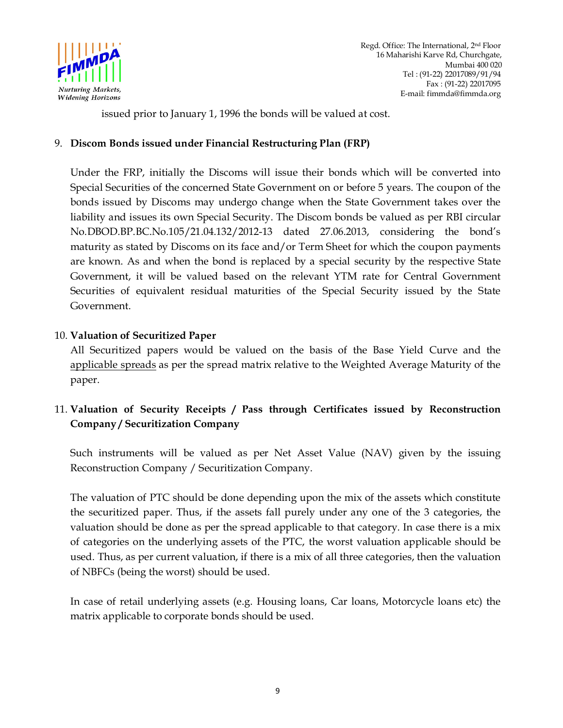

issued prior to January 1, 1996 the bonds will be valued at cost.

### 9. **Discom Bonds issued under Financial Restructuring Plan (FRP)**

Under the FRP, initially the Discoms will issue their bonds which will be converted into Special Securities of the concerned State Government on or before 5 years. The coupon of the bonds issued by Discoms may undergo change when the State Government takes over the liability and issues its own Special Security. The Discom bonds be valued as per RBI circular No.DBOD.BP.BC.No.105/21.04.132/2012-13 dated 27.06.2013, considering the bond's maturity as stated by Discoms on its face and/or Term Sheet for which the coupon payments are known. As and when the bond is replaced by a special security by the respective State Government, it will be valued based on the relevant YTM rate for Central Government Securities of equivalent residual maturities of the Special Security issued by the State Government.

### 10. **Valuation of Securitized Paper**

All Securitized papers would be valued on the basis of the Base Yield Curve and the applicable spreads as per the spread matrix relative to the Weighted Average Maturity of the paper.

## 11. **Valuation of Security Receipts / Pass through Certificates issued by Reconstruction Company / Securitization Company**

Such instruments will be valued as per Net Asset Value (NAV) given by the issuing Reconstruction Company / Securitization Company.

The valuation of PTC should be done depending upon the mix of the assets which constitute the securitized paper. Thus, if the assets fall purely under any one of the 3 categories, the valuation should be done as per the spread applicable to that category. In case there is a mix of categories on the underlying assets of the PTC, the worst valuation applicable should be used. Thus, as per current valuation, if there is a mix of all three categories, then the valuation of NBFCs (being the worst) should be used.

In case of retail underlying assets (e.g. Housing loans, Car loans, Motorcycle loans etc) the matrix applicable to corporate bonds should be used.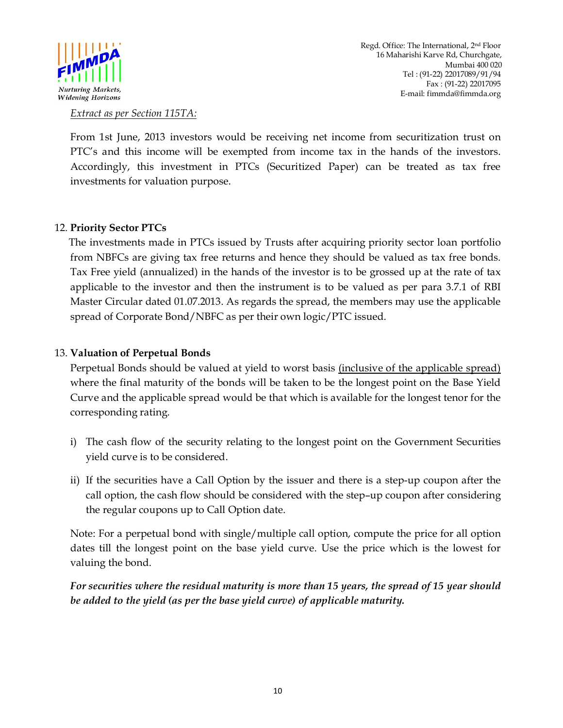

#### *Extract as per Section 115TA:*

From 1st June, 2013 investors would be receiving net income from securitization trust on PTC's and this income will be exempted from income tax in the hands of the investors. Accordingly, this investment in PTCs (Securitized Paper) can be treated as tax free investments for valuation purpose.

#### 12. **Priority Sector PTCs**

 The investments made in PTCs issued by Trusts after acquiring priority sector loan portfolio from NBFCs are giving tax free returns and hence they should be valued as tax free bonds. Tax Free yield (annualized) in the hands of the investor is to be grossed up at the rate of tax applicable to the investor and then the instrument is to be valued as per para 3.7.1 of RBI Master Circular dated 01.07.2013. As regards the spread, the members may use the applicable spread of Corporate Bond/NBFC as per their own logic/PTC issued.

#### 13. **Valuation of Perpetual Bonds**

Perpetual Bonds should be valued at yield to worst basis *(inclusive of the applicable spread)* where the final maturity of the bonds will be taken to be the longest point on the Base Yield Curve and the applicable spread would be that which is available for the longest tenor for the corresponding rating.

- i) The cash flow of the security relating to the longest point on the Government Securities yield curve is to be considered.
- ii) If the securities have a Call Option by the issuer and there is a step-up coupon after the call option, the cash flow should be considered with the step–up coupon after considering the regular coupons up to Call Option date.

Note: For a perpetual bond with single/multiple call option, compute the price for all option dates till the longest point on the base yield curve. Use the price which is the lowest for valuing the bond.

*For securities where the residual maturity is more than 15 years, the spread of 15 year should be added to the yield (as per the base yield curve) of applicable maturity.*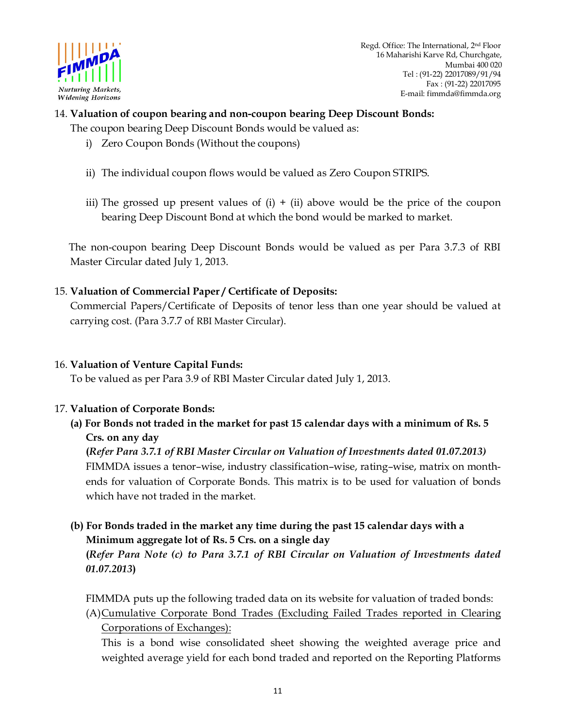

## 14. **Valuation of coupon bearing and non-coupon bearing Deep Discount Bonds:**  The coupon bearing Deep Discount Bonds would be valued as:

- i) Zero Coupon Bonds (Without the coupons)
- ii) The individual coupon flows would be valued as Zero Coupon STRIPS.
- iii) The grossed up present values of  $(i) + (ii)$  above would be the price of the coupon bearing Deep Discount Bond at which the bond would be marked to market.

 The non-coupon bearing Deep Discount Bonds would be valued as per Para 3.7.3 of RBI Master Circular dated July 1, 2013.

### 15. **Valuation of Commercial Paper / Certificate of Deposits:**

Commercial Papers/Certificate of Deposits of tenor less than one year should be valued at carrying cost. (Para 3.7.7 of RBI Master Circular).

#### 16. **Valuation of Venture Capital Funds:**

To be valued as per Para 3.9 of RBI Master Circular dated July 1, 2013.

#### 17. **Valuation of Corporate Bonds:**

**(a) For Bonds not traded in the market for past 15 calendar days with a minimum of Rs. 5 Crs. on any day** 

### **(***Refer Para 3.7.1 of RBI Master Circular on Valuation of Investments dated 01.07.2013)*

FIMMDA issues a tenor–wise, industry classification–wise, rating–wise, matrix on monthends for valuation of Corporate Bonds. This matrix is to be used for valuation of bonds which have not traded in the market.

 **(b) For Bonds traded in the market any time during the past 15 calendar days with a Minimum aggregate lot of Rs. 5 Crs. on a single day** 

**(***Refer Para Note (c) to Para 3.7.1 of RBI Circular on Valuation of Investments dated 01.07.2013***)** 

FIMMDA puts up the following traded data on its website for valuation of traded bonds:

(A)Cumulative Corporate Bond Trades (Excluding Failed Trades reported in Clearing Corporations of Exchanges):

This is a bond wise consolidated sheet showing the weighted average price and weighted average yield for each bond traded and reported on the Reporting Platforms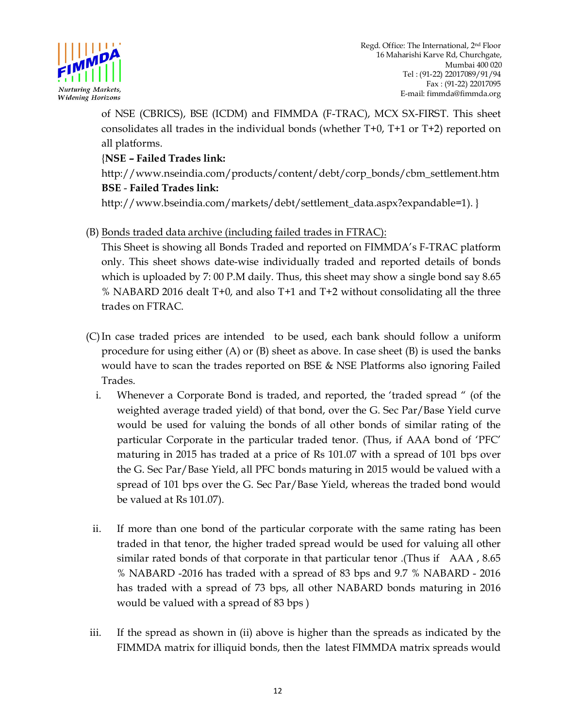

of NSE (CBRICS), BSE (ICDM) and FIMMDA (F-TRAC), MCX SX-FIRST. This sheet consolidates all trades in the individual bonds (whether T+0, T+1 or T+2) reported on all platforms.

## {**NSE – Failed Trades link:**

http://www.nseindia.com/products/content/debt/corp\_bonds/cbm\_settlement.htm **BSE** - **Failed Trades link:**

http://www.bseindia.com/markets/debt/settlement\_data.aspx?expandable=1). }

(B) Bonds traded data archive (including failed trades in FTRAC):

This Sheet is showing all Bonds Traded and reported on FIMMDA's F-TRAC platform only. This sheet shows date-wise individually traded and reported details of bonds which is uploaded by 7: 00 P.M daily. Thus, this sheet may show a single bond say 8.65 % NABARD 2016 dealt T+0, and also T+1 and T+2 without consolidating all the three trades on FTRAC.

- (C)In case traded prices are intended to be used, each bank should follow a uniform procedure for using either (A) or (B) sheet as above. In case sheet (B) is used the banks would have to scan the trades reported on BSE & NSE Platforms also ignoring Failed Trades.
	- i. Whenever a Corporate Bond is traded, and reported, the 'traded spread " (of the weighted average traded yield) of that bond, over the G. Sec Par/Base Yield curve would be used for valuing the bonds of all other bonds of similar rating of the particular Corporate in the particular traded tenor. (Thus, if AAA bond of 'PFC' maturing in 2015 has traded at a price of Rs 101.07 with a spread of 101 bps over the G. Sec Par/Base Yield, all PFC bonds maturing in 2015 would be valued with a spread of 101 bps over the G. Sec Par/Base Yield, whereas the traded bond would be valued at Rs 101.07).
	- ii. If more than one bond of the particular corporate with the same rating has been traded in that tenor, the higher traded spread would be used for valuing all other similar rated bonds of that corporate in that particular tenor .(Thus if AAA , 8.65 % NABARD -2016 has traded with a spread of 83 bps and 9.7 % NABARD - 2016 has traded with a spread of 73 bps, all other NABARD bonds maturing in 2016 would be valued with a spread of 83 bps )
- iii. If the spread as shown in (ii) above is higher than the spreads as indicated by the FIMMDA matrix for illiquid bonds, then the latest FIMMDA matrix spreads would